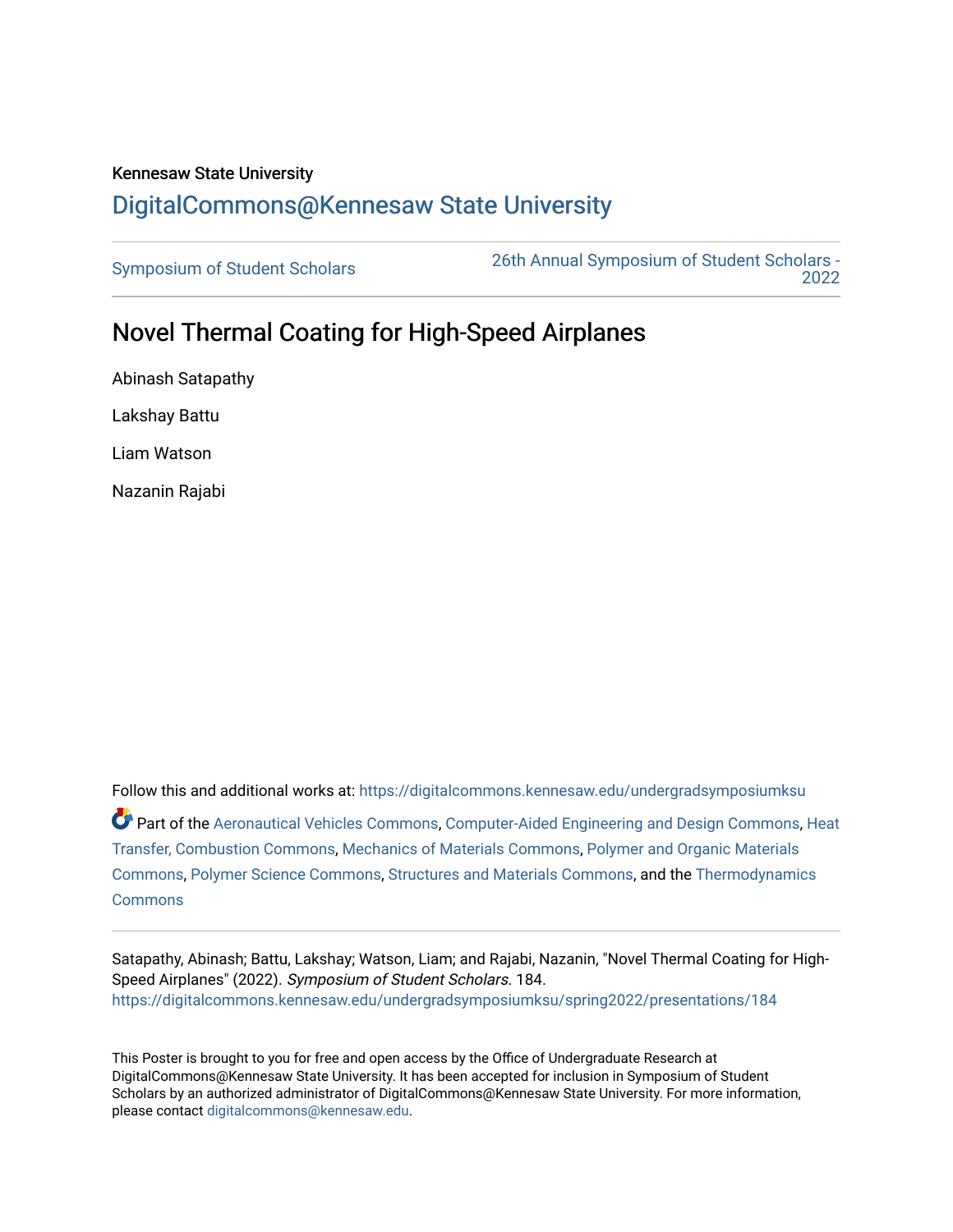## Kennesaw State University [DigitalCommons@Kennesaw State University](https://digitalcommons.kennesaw.edu/)

[Symposium of Student Scholars](https://digitalcommons.kennesaw.edu/undergradsymposiumksu) [26th Annual Symposium of Student Scholars -](https://digitalcommons.kennesaw.edu/undergradsymposiumksu/spring2022)  [2022](https://digitalcommons.kennesaw.edu/undergradsymposiumksu/spring2022) 

## Novel Thermal Coating for High-Speed Airplanes

Abinash Satapathy Lakshay Battu Liam Watson Nazanin Rajabi

Follow this and additional works at: [https://digitalcommons.kennesaw.edu/undergradsymposiumksu](https://digitalcommons.kennesaw.edu/undergradsymposiumksu?utm_source=digitalcommons.kennesaw.edu%2Fundergradsymposiumksu%2Fspring2022%2Fpresentations%2F184&utm_medium=PDF&utm_campaign=PDFCoverPages)  Part of the [Aeronautical Vehicles Commons,](http://network.bepress.com/hgg/discipline/219?utm_source=digitalcommons.kennesaw.edu%2Fundergradsymposiumksu%2Fspring2022%2Fpresentations%2F184&utm_medium=PDF&utm_campaign=PDFCoverPages) [Computer-Aided Engineering and Design Commons](http://network.bepress.com/hgg/discipline/297?utm_source=digitalcommons.kennesaw.edu%2Fundergradsymposiumksu%2Fspring2022%2Fpresentations%2F184&utm_medium=PDF&utm_campaign=PDFCoverPages), [Heat](http://network.bepress.com/hgg/discipline/300?utm_source=digitalcommons.kennesaw.edu%2Fundergradsymposiumksu%2Fspring2022%2Fpresentations%2F184&utm_medium=PDF&utm_campaign=PDFCoverPages)  [Transfer, Combustion Commons,](http://network.bepress.com/hgg/discipline/300?utm_source=digitalcommons.kennesaw.edu%2Fundergradsymposiumksu%2Fspring2022%2Fpresentations%2F184&utm_medium=PDF&utm_campaign=PDFCoverPages) [Mechanics of Materials Commons,](http://network.bepress.com/hgg/discipline/283?utm_source=digitalcommons.kennesaw.edu%2Fundergradsymposiumksu%2Fspring2022%2Fpresentations%2F184&utm_medium=PDF&utm_campaign=PDFCoverPages) [Polymer and Organic Materials](http://network.bepress.com/hgg/discipline/289?utm_source=digitalcommons.kennesaw.edu%2Fundergradsymposiumksu%2Fspring2022%2Fpresentations%2F184&utm_medium=PDF&utm_campaign=PDFCoverPages)  [Commons](http://network.bepress.com/hgg/discipline/289?utm_source=digitalcommons.kennesaw.edu%2Fundergradsymposiumksu%2Fspring2022%2Fpresentations%2F184&utm_medium=PDF&utm_campaign=PDFCoverPages), [Polymer Science Commons](http://network.bepress.com/hgg/discipline/246?utm_source=digitalcommons.kennesaw.edu%2Fundergradsymposiumksu%2Fspring2022%2Fpresentations%2F184&utm_medium=PDF&utm_campaign=PDFCoverPages), [Structures and Materials Commons](http://network.bepress.com/hgg/discipline/224?utm_source=digitalcommons.kennesaw.edu%2Fundergradsymposiumksu%2Fspring2022%2Fpresentations%2F184&utm_medium=PDF&utm_campaign=PDFCoverPages), and the [Thermodynamics](http://network.bepress.com/hgg/discipline/248?utm_source=digitalcommons.kennesaw.edu%2Fundergradsymposiumksu%2Fspring2022%2Fpresentations%2F184&utm_medium=PDF&utm_campaign=PDFCoverPages)  **[Commons](http://network.bepress.com/hgg/discipline/248?utm_source=digitalcommons.kennesaw.edu%2Fundergradsymposiumksu%2Fspring2022%2Fpresentations%2F184&utm_medium=PDF&utm_campaign=PDFCoverPages)** 

Satapathy, Abinash; Battu, Lakshay; Watson, Liam; and Rajabi, Nazanin, "Novel Thermal Coating for High-Speed Airplanes" (2022). Symposium of Student Scholars. 184. [https://digitalcommons.kennesaw.edu/undergradsymposiumksu/spring2022/presentations/184](https://digitalcommons.kennesaw.edu/undergradsymposiumksu/spring2022/presentations/184?utm_source=digitalcommons.kennesaw.edu%2Fundergradsymposiumksu%2Fspring2022%2Fpresentations%2F184&utm_medium=PDF&utm_campaign=PDFCoverPages)

This Poster is brought to you for free and open access by the Office of Undergraduate Research at DigitalCommons@Kennesaw State University. It has been accepted for inclusion in Symposium of Student Scholars by an authorized administrator of DigitalCommons@Kennesaw State University. For more information, please contact [digitalcommons@kennesaw.edu.](mailto:digitalcommons@kennesaw.edu)